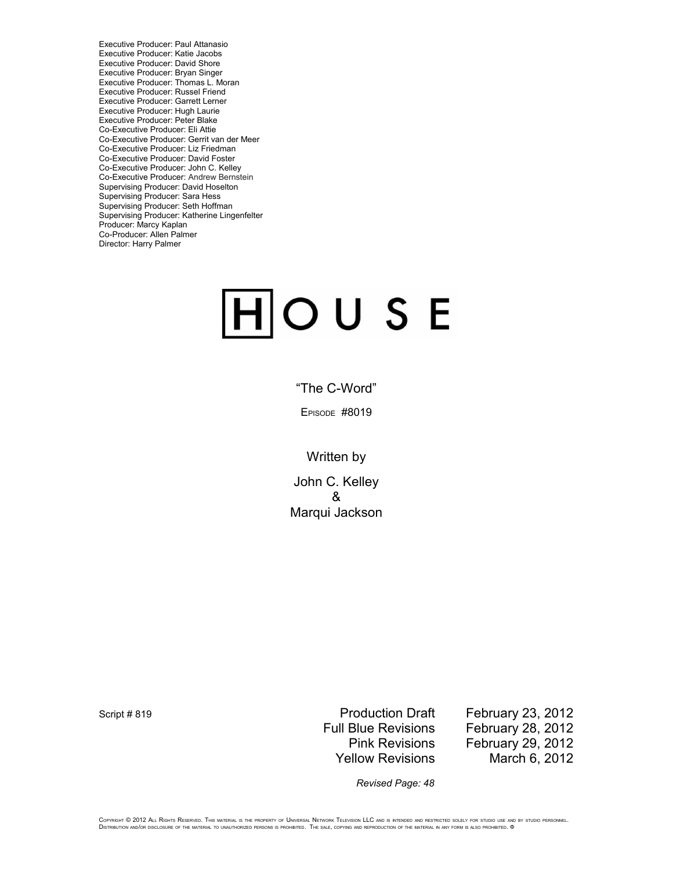Executive Producer: Paul Attanasio Executive Producer: Katie Jacobs Executive Producer: David Shore Executive Producer: Bryan Singer Executive Producer: Thomas L. Moran Executive Producer: Russel Friend Executive Producer: Garrett Lerner Executive Producer: Hugh Laurie Executive Producer: Peter Blake Co-Executive Producer: Eli Attie Co-Executive Producer: Gerrit van der Meer Co-Executive Producer: Liz Friedman Co-Executive Producer: David Foster Co-Executive Producer: John C. Kelley Co-Executive Producer: Andrew Bernstein Supervising Producer: David Hoselton Supervising Producer: Sara Hess Supervising Producer: Seth Hoffman Supervising Producer: Katherine Lingenfelter Producer: Marcy Kaplan Co-Producer: Allen Palmer Director: Harry Palmer

# $|H|$ OUSE

"The C-Word"

EPISODE #8019

Written by

John C. Kelley & Marqui Jackson

Script # 819 Script # 819

Full Blue Revisions February 28, 2012 Pink Revisions February 29, 2012 Yellow Revisions March 6, 2012

*Revised Page: 48*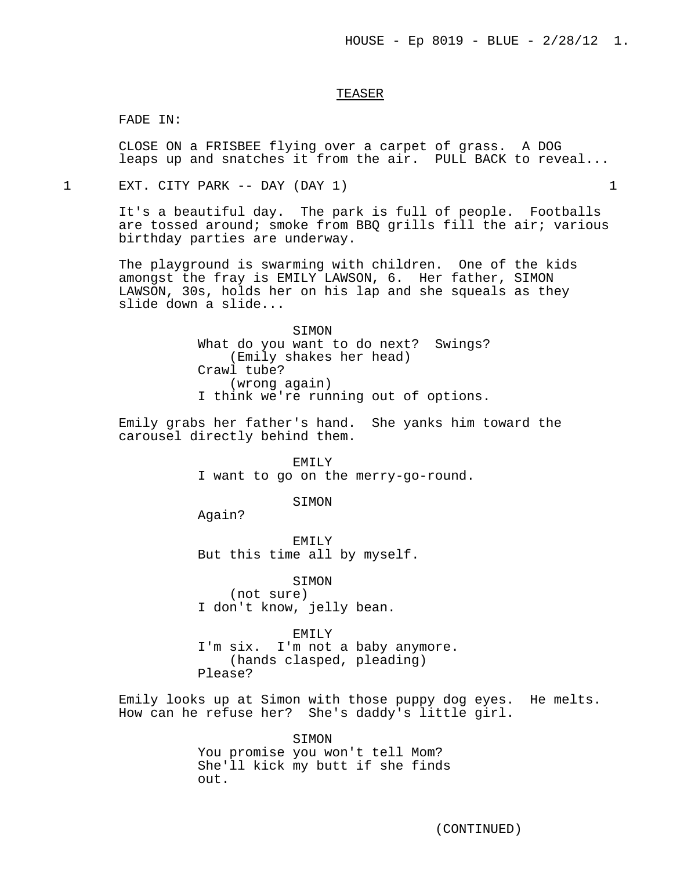## TEASER

FADE IN:

CLOSE ON a FRISBEE flying over a carpet of grass. A DOG leaps up and snatches it from the air. PULL BACK to reveal...

1 EXT. CITY PARK -- DAY (DAY 1) 1

It's a beautiful day. The park is full of people. Footballs are tossed around; smoke from BBQ grills fill the air; various birthday parties are underway.

The playground is swarming with children. One of the kids amongst the fray is EMILY LAWSON, 6. Her father, SIMON LAWSON, 30s, holds her on his lap and she squeals as they slide down a slide...

> SIMON What do you want to do next? Swings? (Emily shakes her head) Crawl tube? (wrong again) I think we're running out of options.

Emily grabs her father's hand. She yanks him toward the carousel directly behind them.

> EMILY I want to go on the merry-go-round.

> > SIMON

Again?

EMILY But this time all by myself.

SIMON

(not sure) I don't know, jelly bean.

EMILY

I'm six. I'm not a baby anymore. (hands clasped, pleading) Please?

Emily looks up at Simon with those puppy dog eyes. He melts. How can he refuse her? She's daddy's little girl.

> SIMON You promise you won't tell Mom? She'll kick my butt if she finds out.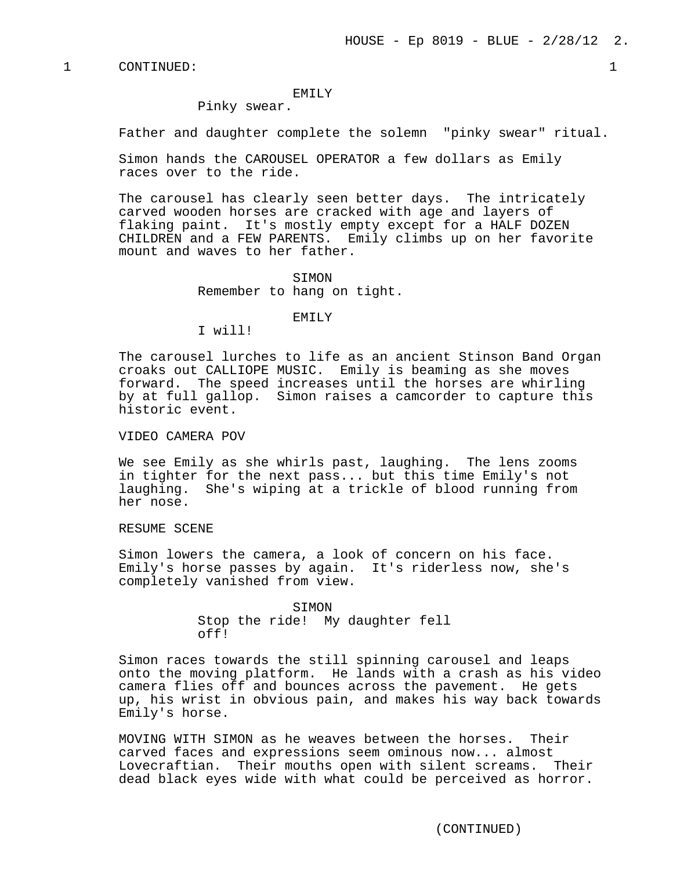## EMTI<sub>V</sub>

Pinky swear.

Father and daughter complete the solemn "pinky swear" ritual.

Simon hands the CAROUSEL OPERATOR a few dollars as Emily races over to the ride.

The carousel has clearly seen better days. The intricately carved wooden horses are cracked with age and layers of flaking paint. It's mostly empty except for a HALF DOZEN CHILDREN and a FEW PARENTS. Emily climbs up on her favorite mount and waves to her father.

> SIMON Remember to hang on tight.

#### EMILY

I will!

The carousel lurches to life as an ancient Stinson Band Organ croaks out CALLIOPE MUSIC. Emily is beaming as she moves forward. The speed increases until the horses are whirling by at full gallop. Simon raises a camcorder to capture this historic event.

VIDEO CAMERA POV

We see Emily as she whirls past, laughing. The lens zooms in tighter for the next pass... but this time Emily's not laughing. She's wiping at a trickle of blood running from her nose.

RESUME SCENE

Simon lowers the camera, a look of concern on his face. Emily's horse passes by again. It's riderless now, she's completely vanished from view.

> **STMON** Stop the ride! My daughter fell off!

Simon races towards the still spinning carousel and leaps onto the moving platform. He lands with a crash as his video camera flies off and bounces across the pavement. He gets up, his wrist in obvious pain, and makes his way back towards Emily's horse.

MOVING WITH SIMON as he weaves between the horses. Their carved faces and expressions seem ominous now... almost Lovecraftian. Their mouths open with silent screams. Their dead black eyes wide with what could be perceived as horror.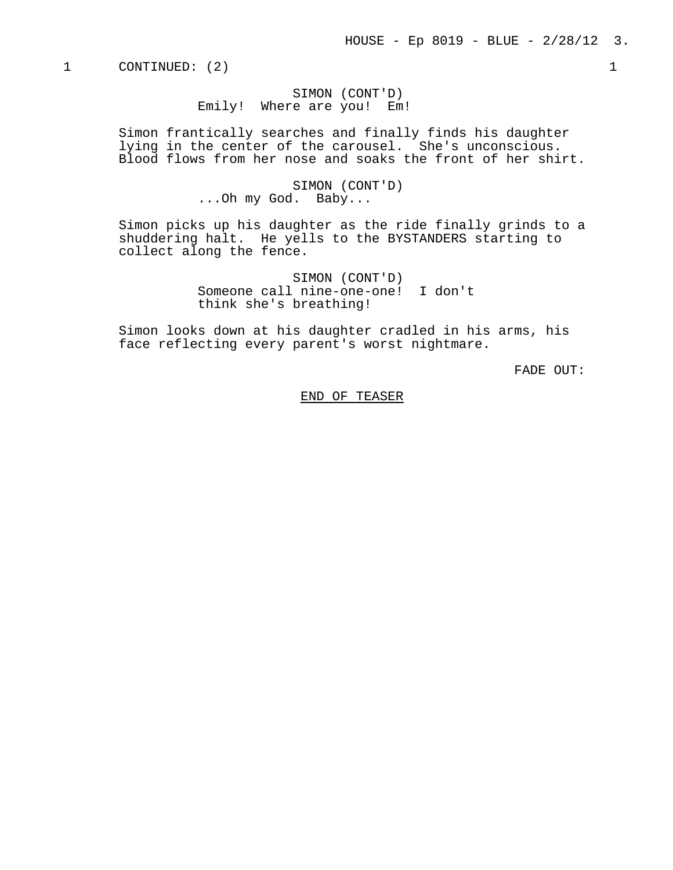SIMON (CONT'D) Emily! Where are you! Em!

Simon frantically searches and finally finds his daughter lying in the center of the carousel. She's unconscious. Blood flows from her nose and soaks the front of her shirt.

> SIMON (CONT'D) ...Oh my God. Baby...

Simon picks up his daughter as the ride finally grinds to a shuddering halt. He yells to the BYSTANDERS starting to collect along the fence.

> SIMON (CONT'D) Someone call nine-one-one! I don't think she's breathing!

Simon looks down at his daughter cradled in his arms, his face reflecting every parent's worst nightmare.

FADE OUT:

END OF TEASER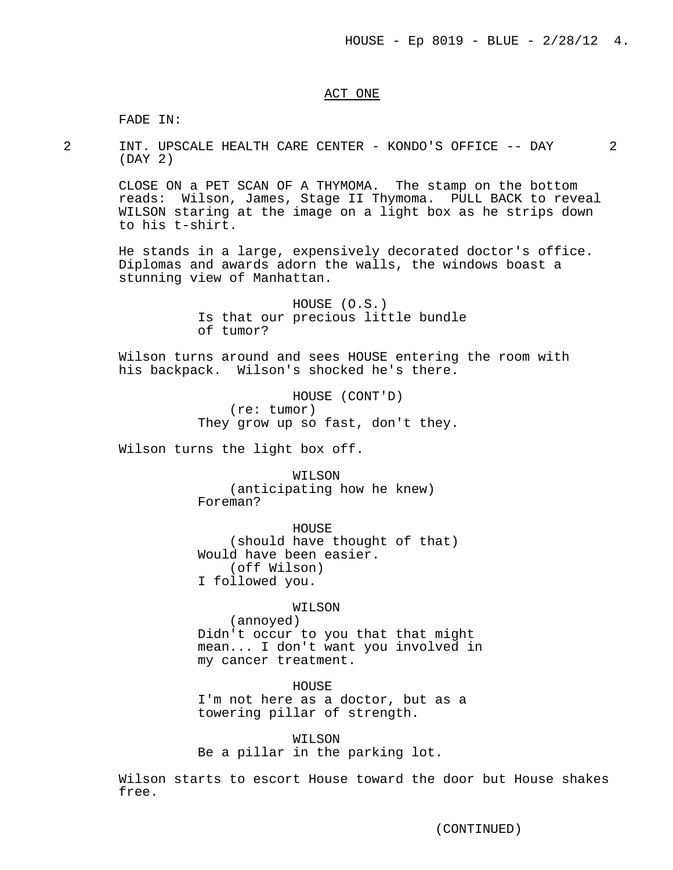## ACT ONE

FADE IN:

2 INT. UPSCALE HEALTH CARE CENTER - KONDO'S OFFICE -- DAY 2 (DAY 2)

CLOSE ON a PET SCAN OF A THYMOMA. The stamp on the bottom reads: Wilson, James, Stage II Thymoma. PULL BACK to reveal WILSON staring at the image on a light box as he strips down to his t-shirt.

He stands in a large, expensively decorated doctor's office. Diplomas and awards adorn the walls, the windows boast a stunning view of Manhattan.

> HOUSE (O.S.) Is that our precious little bundle of tumor?

Wilson turns around and sees HOUSE entering the room with his backpack. Wilson's shocked he's there.

> HOUSE (CONT'D) (re: tumor) They grow up so fast, don't they.

Wilson turns the light box off.

WILSON (anticipating how he knew) Foreman?

HOUSE (should have thought of that) Would have been easier. (off Wilson) I followed you.

WILSON

(annoyed) Didn't occur to you that that might mean... I don't want you involved in my cancer treatment.

HOUSE I'm not here as a doctor, but as a towering pillar of strength.

WILSON Be a pillar in the parking lot.

Wilson starts to escort House toward the door but House shakes free.

(CONTINUED)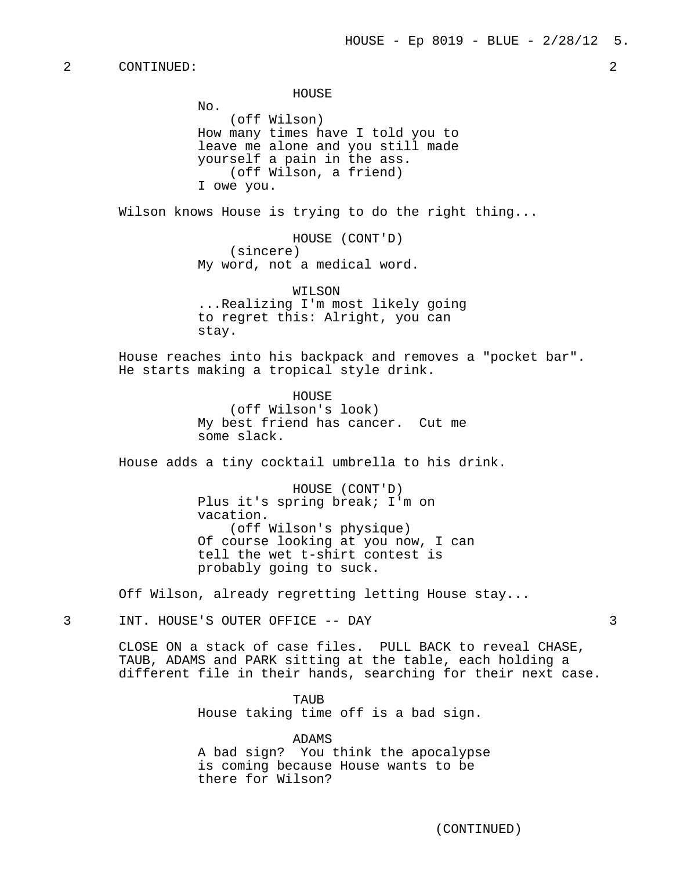HOUSE

No. (off Wilson) How many times have I told you to leave me alone and you still made yourself a pain in the ass. (off Wilson, a friend) I owe you.

Wilson knows House is trying to do the right thing...

HOUSE (CONT'D) (sincere) My word, not a medical word.

WILSON ...Realizing I'm most likely going to regret this: Alright, you can stay.

House reaches into his backpack and removes a "pocket bar". He starts making a tropical style drink.

> HOUSE (off Wilson's look) My best friend has cancer. Cut me some slack.

House adds a tiny cocktail umbrella to his drink.

HOUSE (CONT'D) Plus it's spring break; I'm on vacation. (off Wilson's physique) Of course looking at you now, I can tell the wet t-shirt contest is probably going to suck.

Off Wilson, already regretting letting House stay...

3 INT. HOUSE'S OUTER OFFICE -- DAY 3

CLOSE ON a stack of case files. PULL BACK to reveal CHASE, TAUB, ADAMS and PARK sitting at the table, each holding a different file in their hands, searching for their next case.

> TAUR House taking time off is a bad sign.

ADAMS A bad sign? You think the apocalypse is coming because House wants to be there for Wilson?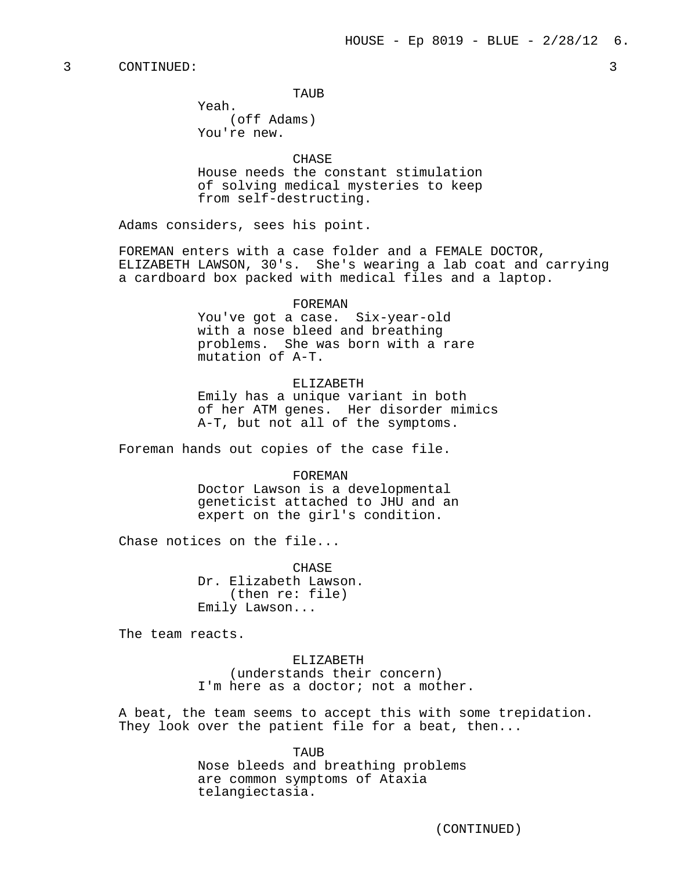TAUR

Yeah. (off Adams) You're new.

CHASE House needs the constant stimulation of solving medical mysteries to keep from self-destructing.

Adams considers, sees his point.

FOREMAN enters with a case folder and a FEMALE DOCTOR, ELIZABETH LAWSON, 30's. She's wearing a lab coat and carrying a cardboard box packed with medical files and a laptop.

#### FOREMAN

You've got a case. Six-year-old with a nose bleed and breathing problems. She was born with a rare mutation of A-T.

## ELIZABETH

Emily has a unique variant in both of her ATM genes. Her disorder mimics A-T, but not all of the symptoms.

Foreman hands out copies of the case file.

#### FOREMAN

Doctor Lawson is a developmental geneticist attached to JHU and an expert on the girl's condition.

Chase notices on the file...

CHASE Dr. Elizabeth Lawson. (then re: file) Emily Lawson...

The team reacts.

ELIZABETH (understands their concern) I'm here as a doctor; not a mother.

A beat, the team seems to accept this with some trepidation. They look over the patient file for a beat, then...

> TAUB Nose bleeds and breathing problems are common symptoms of Ataxia telangiectasia.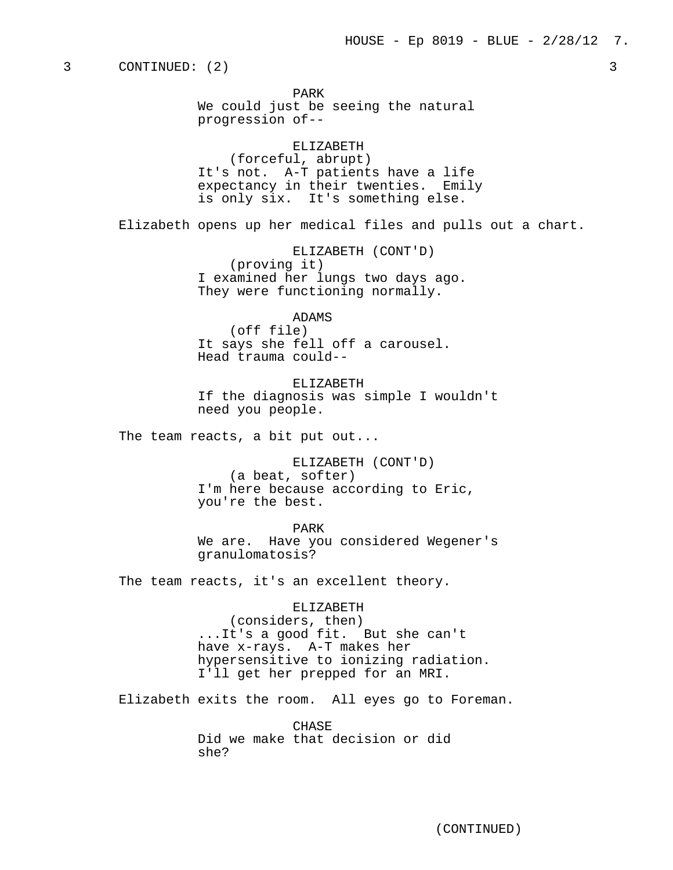PARK We could just be seeing the natural progression of--

# ELIZABETH

(forceful, abrupt) It's not. A-T patients have a life expectancy in their twenties. Emily is only six. It's something else.

Elizabeth opens up her medical files and pulls out a chart.

ELIZABETH (CONT'D) (proving it) I examined her lungs two days ago. They were functioning normally.

## ADAMS

(off file) It says she fell off a carousel. Head trauma could--

ELIZABETH If the diagnosis was simple I wouldn't need you people.

The team reacts, a bit put out...

ELIZABETH (CONT'D) (a beat, softer) I'm here because according to Eric, you're the best.

PARK We are. Have you considered Wegener's granulomatosis?

The team reacts, it's an excellent theory.

ELIZABETH (considers, then) ...It's a good fit. But she can't have x-rays. A-T makes her hypersensitive to ionizing radiation. I'll get her prepped for an MRI.

Elizabeth exits the room. All eyes go to Foreman.

CHASE Did we make that decision or did she?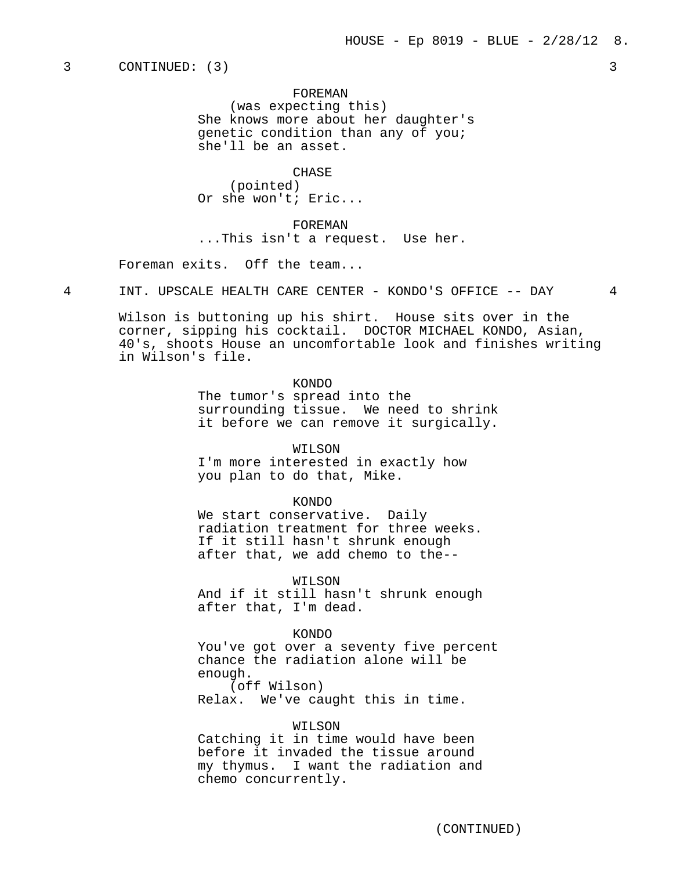#### FOREMAN

(was expecting this) She knows more about her daughter's genetic condition than any of you; she'll be an asset.

**CHASE** 

(pointed) Or she won't; Eric...

FOREMAN ...This isn't a request. Use her.

Foreman exits. Off the team...

4 INT. UPSCALE HEALTH CARE CENTER - KONDO'S OFFICE -- DAY 4

Wilson is buttoning up his shirt. House sits over in the corner, sipping his cocktail. DOCTOR MICHAEL KONDO, Asian, 40's, shoots House an uncomfortable look and finishes writing in Wilson's file.

> KONDO The tumor's spread into the surrounding tissue. We need to shrink it before we can remove it surgically.

> > WILSON

I'm more interested in exactly how you plan to do that, Mike.

## KONDO

We start conservative. Daily radiation treatment for three weeks. If it still hasn't shrunk enough after that, we add chemo to the--

WILSON

And if it still hasn't shrunk enough after that, I'm dead.

#### KONDO

You've got over a seventy five percent chance the radiation alone will be enough. (off Wilson)

Relax. We've caught this in time.

## WILSON

Catching it in time would have been before it invaded the tissue around my thymus. I want the radiation and chemo concurrently.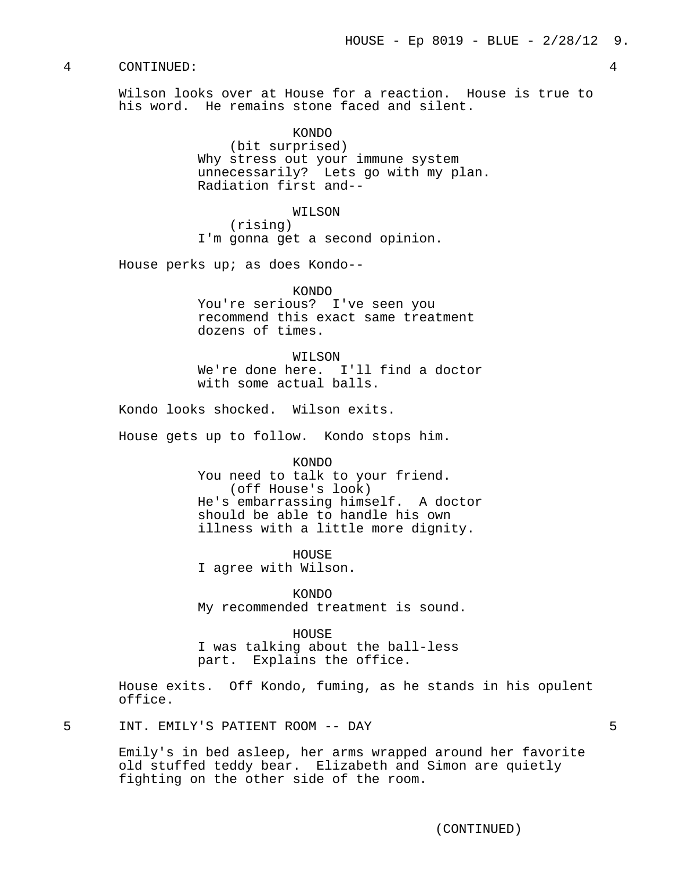Wilson looks over at House for a reaction. House is true to his word. He remains stone faced and silent.

> KONDO (bit surprised) Why stress out your immune system unnecessarily? Lets go with my plan. Radiation first and--

## WILSON

(rising) I'm gonna get a second opinion.

House perks up; as does Kondo--

KONDO

You're serious? I've seen you recommend this exact same treatment dozens of times.

## WILSON

We're done here. I'll find a doctor with some actual balls.

Kondo looks shocked. Wilson exits.

House gets up to follow. Kondo stops him.

KONDO

You need to talk to your friend. (off House's look) He's embarrassing himself. A doctor should be able to handle his own illness with a little more dignity.

HOUSE I agree with Wilson.

KONDO My recommended treatment is sound.

## HOUSE

I was talking about the ball-less part. Explains the office.

House exits. Off Kondo, fuming, as he stands in his opulent office.

5 INT. EMILY'S PATIENT ROOM -- DAY 5

Emily's in bed asleep, her arms wrapped around her favorite old stuffed teddy bear. Elizabeth and Simon are quietly fighting on the other side of the room.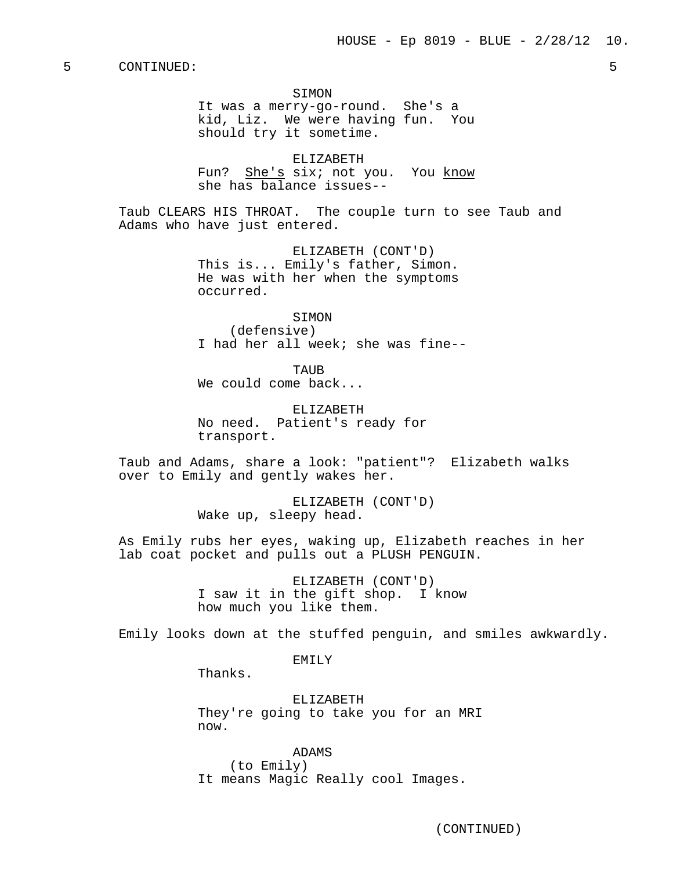#### SIMON

It was a merry-go-round. She's a kid, Liz. We were having fun. You should try it sometime.

ELIZABETH Fun? She's six; not you. You know she has balance issues--

Taub CLEARS HIS THROAT. The couple turn to see Taub and Adams who have just entered.

> ELIZABETH (CONT'D) This is... Emily's father, Simon. He was with her when the symptoms occurred.

**STMON** (defensive) I had her all week; she was fine--

TAUB We could come back...

ELIZABETH No need. Patient's ready for transport.

Taub and Adams, share a look: "patient"? Elizabeth walks over to Emily and gently wakes her.

> ELIZABETH (CONT'D) Wake up, sleepy head.

As Emily rubs her eyes, waking up, Elizabeth reaches in her lab coat pocket and pulls out a PLUSH PENGUIN.

> ELIZABETH (CONT'D) I saw it in the gift shop. I know how much you like them.

Emily looks down at the stuffed penguin, and smiles awkwardly.

EMILY

Thanks.

ELIZABETH They're going to take you for an MRI now.

ADAMS (to Emily) It means Magic Really cool Images.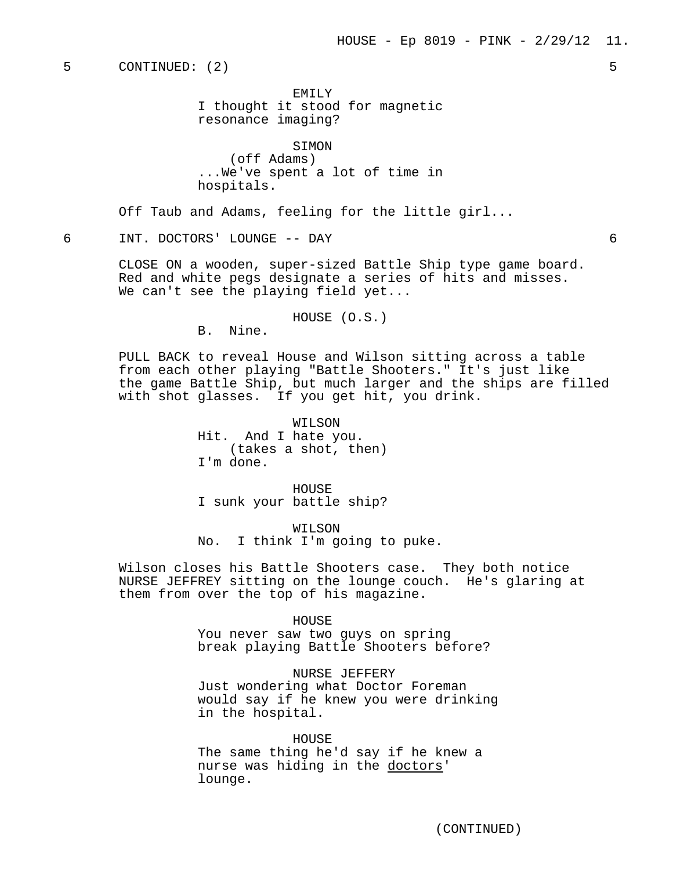EMTI<sub>Y</sub> I thought it stood for magnetic resonance imaging?

SIMON (off Adams) ...We've spent a lot of time in hospitals.

Off Taub and Adams, feeling for the little girl...

## 6 INT. DOCTORS' LOUNGE -- DAY 6

CLOSE ON a wooden, super-sized Battle Ship type game board. Red and white pegs designate a series of hits and misses. We can't see the playing field yet...

### HOUSE (O.S.)

B. Nine.

PULL BACK to reveal House and Wilson sitting across a table from each other playing "Battle Shooters." It's just like the game Battle Ship, but much larger and the ships are filled with shot glasses. If you get hit, you drink.

> WILSON Hit. And I hate you. (takes a shot, then) I'm done.

HOUSE I sunk your battle ship?

WILSON No. I think I'm going to puke.

Wilson closes his Battle Shooters case. They both notice NURSE JEFFREY sitting on the lounge couch. He's glaring at them from over the top of his magazine.

> HOUSE You never saw two guys on spring break playing Battle Shooters before?

NURSE JEFFERY Just wondering what Doctor Foreman would say if he knew you were drinking in the hospital.

HOUSE The same thing he'd say if he knew a nurse was hiding in the doctors' lounge.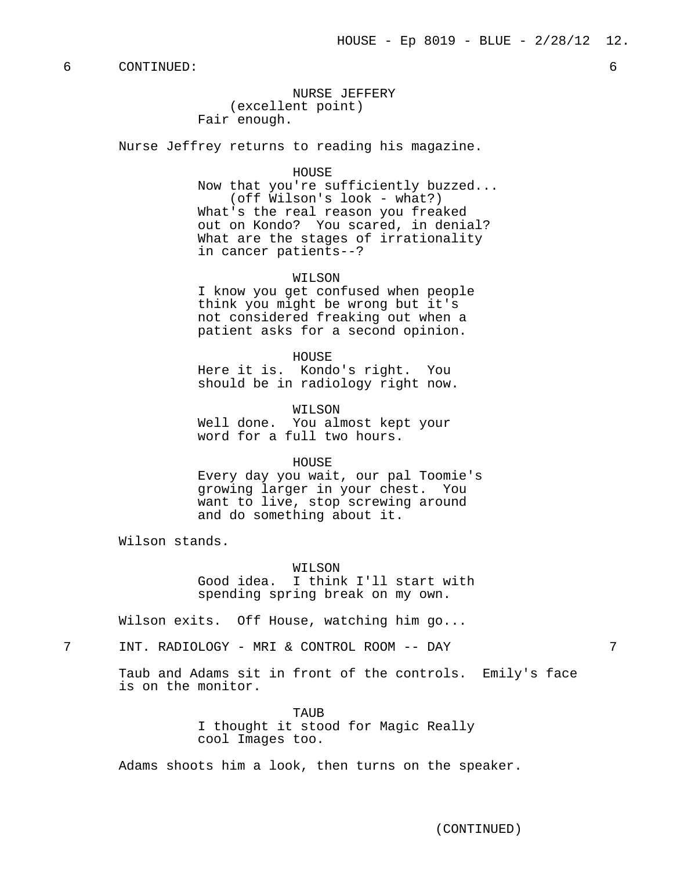NURSE JEFFERY (excellent point) Fair enough.

Nurse Jeffrey returns to reading his magazine.

#### HOUSE

Now that you're sufficiently buzzed... (off Wilson's look - what?) What's the real reason you freaked out on Kondo? You scared, in denial? What are the stages of irrationality in cancer patients--?

WILSON

I know you get confused when people think you might be wrong but it's not considered freaking out when a patient asks for a second opinion.

HOUSE

Here it is. Kondo's right. You should be in radiology right now.

WILSON Well done. You almost kept your word for a full two hours.

#### HOUSE

Every day you wait, our pal Toomie's growing larger in your chest. You want to live, stop screwing around and do something about it.

Wilson stands.

WILSON

Good idea. I think I'll start with spending spring break on my own.

Wilson exits. Off House, watching him go...

7 INT. RADIOLOGY - MRI & CONTROL ROOM -- DAY 7

Taub and Adams sit in front of the controls. Emily's face is on the monitor.

> TAUB I thought it stood for Magic Really cool Images too.

Adams shoots him a look, then turns on the speaker.

(CONTINUED)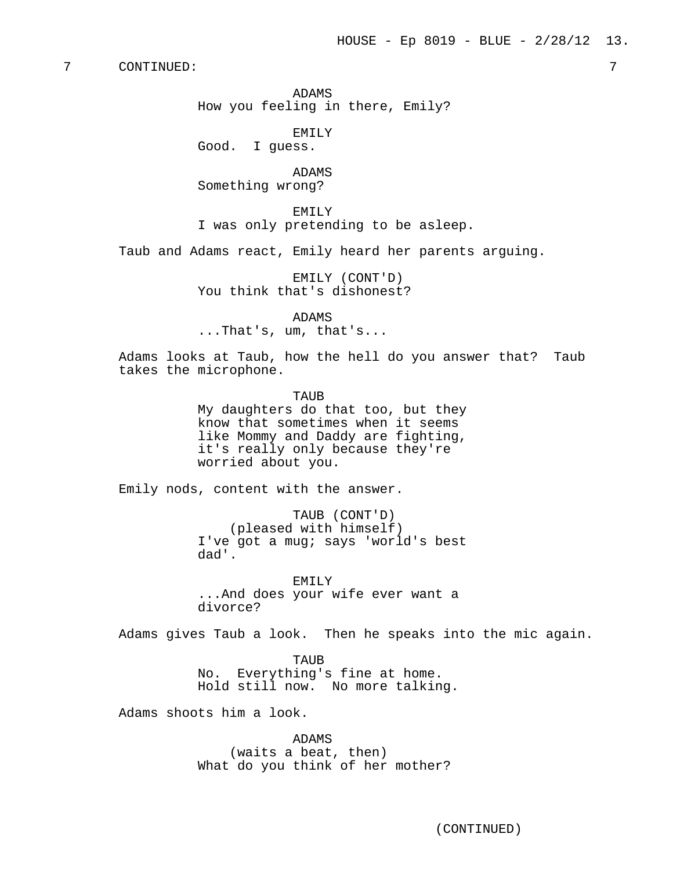ADAMS How you feeling in there, Emily?

EMILY Good. I guess.

ADAMS Something wrong?

EMILY I was only pretending to be asleep.

Taub and Adams react, Emily heard her parents arguing.

EMILY (CONT'D) You think that's dishonest?

ADAMS ...That's, um, that's...

Adams looks at Taub, how the hell do you answer that? Taub takes the microphone.

TAUB

My daughters do that too, but they know that sometimes when it seems like Mommy and Daddy are fighting, it's really only because they're worried about you.

Emily nods, content with the answer.

TAUB (CONT'D) (pleased with himself) I've got a mug; says 'world's best dad'.

EMILY ...And does your wife ever want a divorce?

Adams gives Taub a look. Then he speaks into the mic again.

TAUB No. Everything's fine at home. Hold still now. No more talking.

Adams shoots him a look.

ADAMS (waits a beat, then)

What do you think of her mother?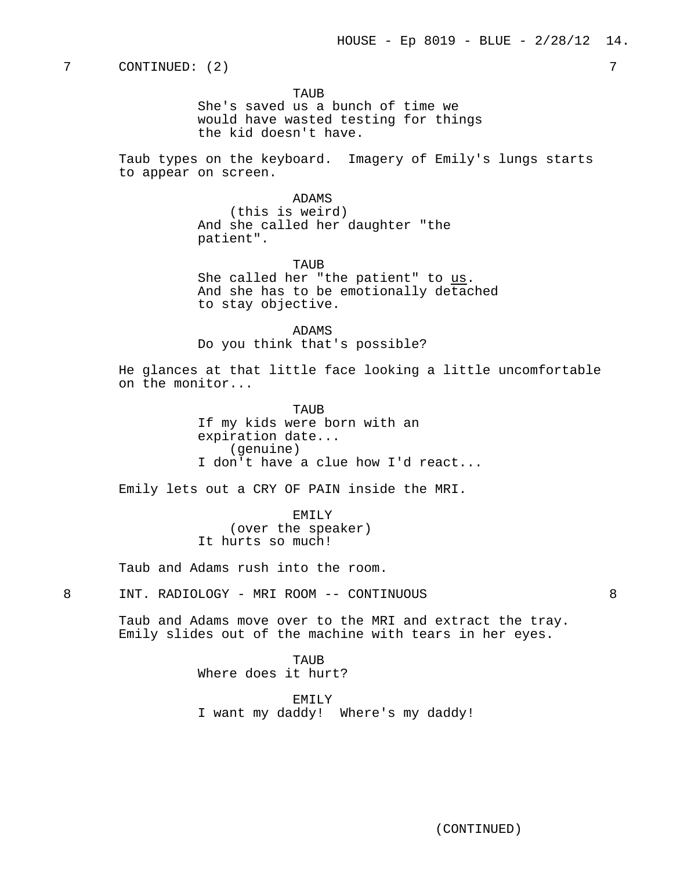TAUR

She's saved us a bunch of time we would have wasted testing for things the kid doesn't have.

Taub types on the keyboard. Imagery of Emily's lungs starts to appear on screen.

## ADAMS

(this is weird) And she called her daughter "the patient".

TAUB She called her "the patient" to us. And she has to be emotionally detached to stay objective.

ADAMS Do you think that's possible?

He glances at that little face looking a little uncomfortable on the monitor...

> TAUR If my kids were born with an expiration date... (genuine) I don't have a clue how I'd react...

Emily lets out a CRY OF PAIN inside the MRI.

EMILY (over the speaker) It hurts so much!

Taub and Adams rush into the room.

8 INT. RADIOLOGY - MRI ROOM -- CONTINUOUS 8

Taub and Adams move over to the MRI and extract the tray. Emily slides out of the machine with tears in her eyes.

> TAUB Where does it hurt?

EMILY I want my daddy! Where's my daddy!